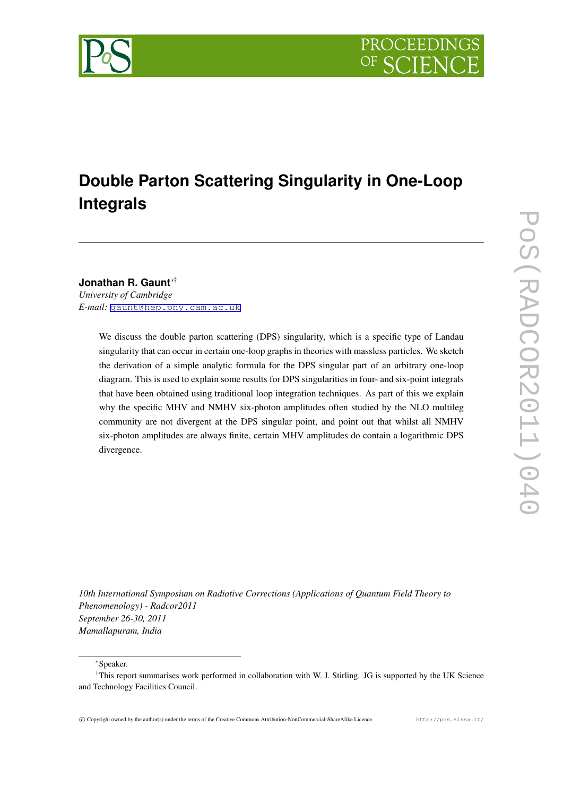

# **Double Parton Scattering Singularity in One-Loop Integrals**

**Jonathan R. Gaunt***∗*† *University of Cambridge E-mail:* [gaunt@hep.phy.cam.ac.uk](mailto:gaunt@hep.phy.cam.ac.uk)

> We discuss the double parton scattering (DPS) singularity, which is a specific type of Landau singularity that can occur in certain one-loop graphs in theories with massless particles. We sketch the derivation of a simple analytic formula for the DPS singular part of an arbitrary one-loop diagram. This is used to explain some results for DPS singularities in four- and six-point integrals that have been obtained using traditional loop integration techniques. As part of this we explain why the specific MHV and NMHV six-photon amplitudes often studied by the NLO multileg community are not divergent at the DPS singular point, and point out that whilst all NMHV six-photon amplitudes are always finite, certain MHV amplitudes do contain a logarithmic DPS divergence.

*10th International Symposium on Radiative Corrections (Applications of Quantum Field Theory to Phenomenology) - Radcor2011 September 26-30, 2011 Mamallapuram, India*

*∗*Speaker.

<sup>†</sup>This report summarises work performed in collaboration with W. J. Stirling. JG is supported by the UK Science and Technology Facilities Council.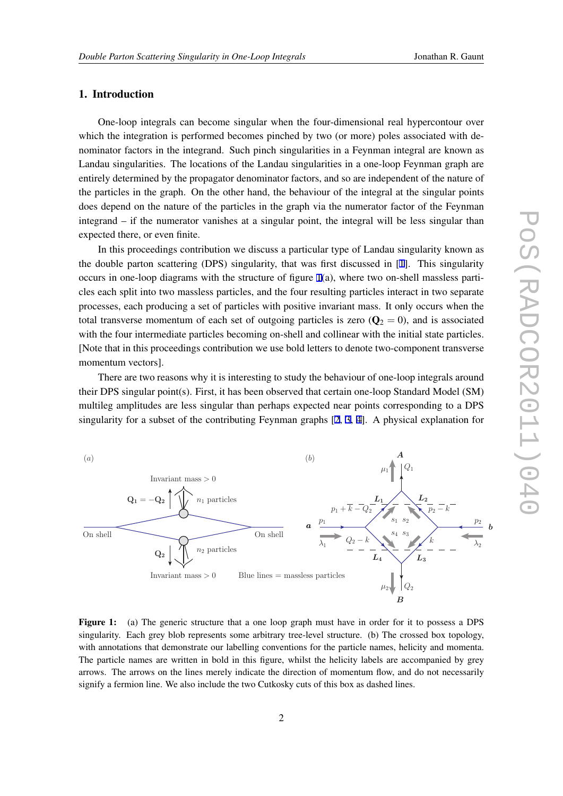## <span id="page-1-0"></span>1. Introduction

One-loop integrals can become singular when the four-dimensional real hypercontour over which the integration is performed becomes pinched by two (or more) poles associated with denominator factors in the integrand. Such pinch singularities in a Feynman integral are known as Landau singularities. The locations of the Landau singularities in a one-loop Feynman graph are entirely determined by the propagator denominator factors, and so are independent of the nature of the particles in the graph. On the other hand, the behaviour of the integral at the singular points does depend on the nature of the particles in the graph via the numerator factor of the Feynman integrand – if the numerator vanishes at a singular point, the integral will be less singular than expected there, or even finite.

In this proceedings contribution we discuss a particular type of Landau singularity known as the double parton scattering (DPS) singularity, that was first discussed in [\[1\]](#page-6-0). This singularity occurs in one-loop diagrams with the structure of figure 1(a), where two on-shell massless particles each split into two massless particles, and the four resulting particles interact in two separate processes, each producing a set of particles with positive invariant mass. It only occurs when the total transverse momentum of each set of outgoing particles is zero  $(Q_2 = 0)$ , and is associated with the four intermediate particles becoming on-shell and collinear with the initial state particles. [Note that in this proceedings contribution we use bold letters to denote two-component transverse momentum vectors].

There are two reasons why it is interesting to study the behaviour of one-loop integrals around their DPS singular point(s). First, it has been observed that certain one-loop Standard Model (SM) multileg amplitudes are less singular than perhaps expected near points corresponding to a DPS singularity for a subset of the contributing Feynman graphs [[2](#page-6-0), [3,](#page-6-0) [4](#page-6-0)]. A physical explanation for



Figure 1: (a) The generic structure that a one loop graph must have in order for it to possess a DPS singularity. Each grey blob represents some arbitrary tree-level structure. (b) The crossed box topology, with annotations that demonstrate our labelling conventions for the particle names, helicity and momenta. The particle names are written in bold in this figure, whilst the helicity labels are accompanied by grey arrows. The arrows on the lines merely indicate the direction of momentum flow, and do not necessarily signify a fermion line. We also include the two Cutkosky cuts of this box as dashed lines.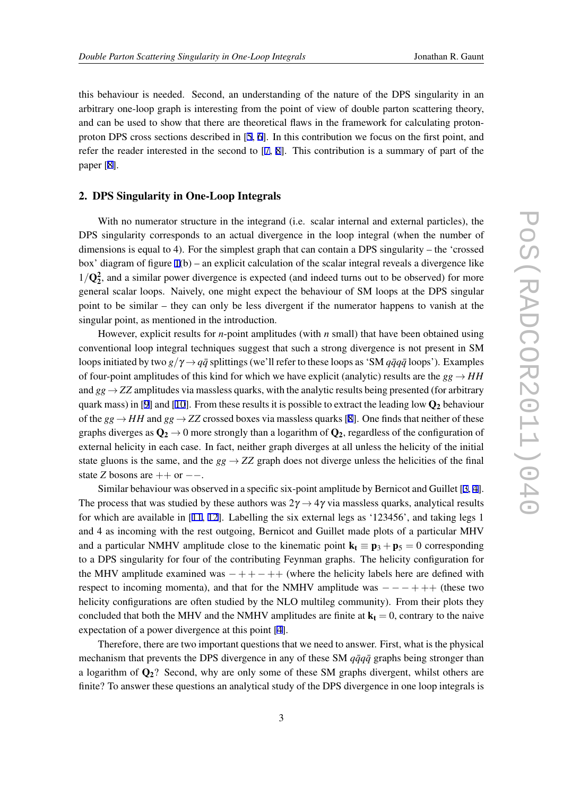this behaviour is needed. Second, an understanding of the nature of the DPS singularity in an arbitrary one-loop graph is interesting from the point of view of double parton scattering theory, and can be used to show that there are theoretical flaws in the framework for calculating protonproton DPS cross sections described in [\[5,](#page-6-0) [6\]](#page-7-0). In this contribution we focus on the first point, and refer the reader interested in the second to [[7](#page-7-0), [8](#page-7-0)]. This contribution is a summary of part of the paper [[8](#page-7-0)].

# 2. DPS Singularity in One-Loop Integrals

With no numerator structure in the integrand (i.e. scalar internal and external particles), the DPS singularity corresponds to an actual divergence in the loop integral (when the number of dimensions is equal to 4). For the simplest graph that can contain a DPS singularity – the 'crossed box' diagram of figure [1](#page-1-0)(b) – an explicit calculation of the scalar integral reveals a divergence like 1/ $Q_2^2$ , and a similar power divergence is expected (and indeed turns out to be observed) for more general scalar loops. Naively, one might expect the behaviour of SM loops at the DPS singular point to be similar – they can only be less divergent if the numerator happens to vanish at the singular point, as mentioned in the introduction.

However, explicit results for *n*-point amplitudes (with *n* small) that have been obtained using conventional loop integral techniques suggest that such a strong divergence is not present in SM loops initiated by two  $g/\gamma \rightarrow q\bar{q}$  splittings (we'll refer to these loops as 'SM  $q\bar{q}q\bar{q}$  loops'). Examples of four-point amplitudes of this kind for which we have explicit (analytic) results are the  $gg \rightarrow HH$ and *gg → ZZ* amplitudes via massless quarks, with the analytic results being presented (for arbitrary quark mass) in [\[9\]](#page-7-0) and [\[10](#page-7-0)]. From these results it is possible to extract the leading low  $\mathbf{Q}_2$  behaviour of the  $gg \rightarrow HH$  and  $gg \rightarrow ZZ$  crossed boxes via massless quarks [\[8\]](#page-7-0). One finds that neither of these graphs diverges as  $\mathbf{Q}_2 \rightarrow 0$  more strongly than a logarithm of  $\mathbf{Q}_2$ , regardless of the configuration of external helicity in each case. In fact, neither graph diverges at all unless the helicity of the initial state gluons is the same, and the  $gg \to ZZ$  graph does not diverge unless the helicities of the final state *Z* bosons are ++ or *−−*.

Similar behaviour was observed in a specific six-point amplitude by Bernicot and Guillet [[3](#page-6-0), [4\]](#page-6-0). The process that was studied by these authors was  $2\gamma \rightarrow 4\gamma$  via massless quarks, analytical results for which are available in [\[11,](#page-7-0) [12\]](#page-7-0). Labelling the six external legs as '123456', and taking legs 1 and 4 as incoming with the rest outgoing, Bernicot and Guillet made plots of a particular MHV and a particular NMHV amplitude close to the kinematic point  $\mathbf{k}_t \equiv \mathbf{p}_3 + \mathbf{p}_5 = 0$  corresponding to a DPS singularity for four of the contributing Feynman graphs. The helicity configuration for the MHV amplitude examined was *−* + + *−* ++ (where the helicity labels here are defined with respect to incoming momenta), and that for the NMHV amplitude was *− − −* + ++ (these two helicity configurations are often studied by the NLO multileg community). From their plots they concluded that both the MHV and the NMHV amplitudes are finite at  $k_t = 0$ , contrary to the naive expectation of a power divergence at this point [\[4\]](#page-6-0).

Therefore, there are two important questions that we need to answer. First, what is the physical mechanism that prevents the DPS divergence in any of these SM  $q\bar{q}q\bar{q}$  graphs being stronger than a logarithm of  $Q_2$ ? Second, why are only some of these SM graphs divergent, whilst others are finite? To answer these questions an analytical study of the DPS divergence in one loop integrals is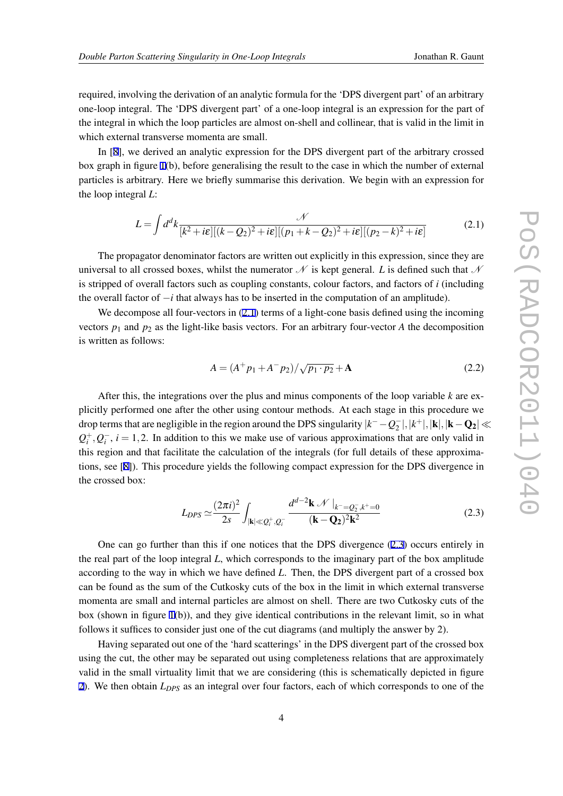required, involving the derivation of an analytic formula for the 'DPS divergent part' of an arbitrary one-loop integral. The 'DPS divergent part' of a one-loop integral is an expression for the part of the integral in which the loop particles are almost on-shell and collinear, that is valid in the limit in which external transverse momenta are small.

In [[8](#page-7-0)], we derived an analytic expression for the DPS divergent part of the arbitrary crossed box graph in figure [1](#page-1-0)(b), before generalising the result to the case in which the number of external particles is arbitrary. Here we briefly summarise this derivation. We begin with an expression for the loop integral *L*:

$$
L = \int d^d k \frac{\mathcal{N}}{[k^2 + i\varepsilon][(k - Q_2)^2 + i\varepsilon][(p_1 + k - Q_2)^2 + i\varepsilon][(p_2 - k)^2 + i\varepsilon]}
$$
(2.1)

The propagator denominator factors are written out explicitly in this expression, since they are universal to all crossed boxes, whilst the numerator  $\mathcal N$  is kept general. *L* is defined such that  $\mathcal N$ is stripped of overall factors such as coupling constants, colour factors, and factors of *i* (including the overall factor of *−i* that always has to be inserted in the computation of an amplitude).

We decompose all four-vectors in  $(2.1)$  terms of a light-cone basis defined using the incoming vectors  $p_1$  and  $p_2$  as the light-like basis vectors. For an arbitrary four-vector *A* the decomposition is written as follows:

$$
A = (A^{+}p_{1} + A^{-}p_{2})/\sqrt{p_{1} \cdot p_{2}} + A
$$
\n(2.2)

After this, the integrations over the plus and minus components of the loop variable *k* are explicitly performed one after the other using contour methods. At each stage in this procedure we drop terms that are negligible in the region around the DPS singularity  $|k^- - Q_2^-|, |k^+|, |\mathbf{k}|, |\mathbf{k} - \mathbf{Q_2}| \ll$  $Q_i^+$ ,  $Q_i^-$ ,  $i = 1, 2$ . In addition to this we make use of various approximations that are only valid in this region and that facilitate the calculation of the integrals (for full details of these approximations, see [[8](#page-7-0)]). This procedure yields the following compact expression for the DPS divergence in the crossed box:

$$
L_{DPS} \simeq \frac{(2\pi i)^2}{2s} \int_{|\mathbf{k}| \ll Q_i^+, Q_i^-} \frac{d^{d-2} \mathbf{k} \mathcal{N} |_{k^- = Q_2^-, k^+ = 0}}{(\mathbf{k} - \mathbf{Q_2})^2 \mathbf{k}^2}
$$
(2.3)

One can go further than this if one notices that the DPS divergence (2.3) occurs entirely in the real part of the loop integral *L*, which corresponds to the imaginary part of the box amplitude according to the way in which we have defined *L*. Then, the DPS divergent part of a crossed box can be found as the sum of the Cutkosky cuts of the box in the limit in which external transverse momenta are small and internal particles are almost on shell. There are two Cutkosky cuts of the box (shown in figure [1\(](#page-1-0)b)), and they give identical contributions in the relevant limit, so in what follows it suffices to consider just one of the cut diagrams (and multiply the answer by 2).

Having separated out one of the 'hard scatterings' in the DPS divergent part of the crossed box using the cut, the other may be separated out using completeness relations that are approximately valid in the small virtuality limit that we are considering (this is schematically depicted in figure [2\)](#page-4-0). We then obtain *LDPS* as an integral over four factors, each of which corresponds to one of the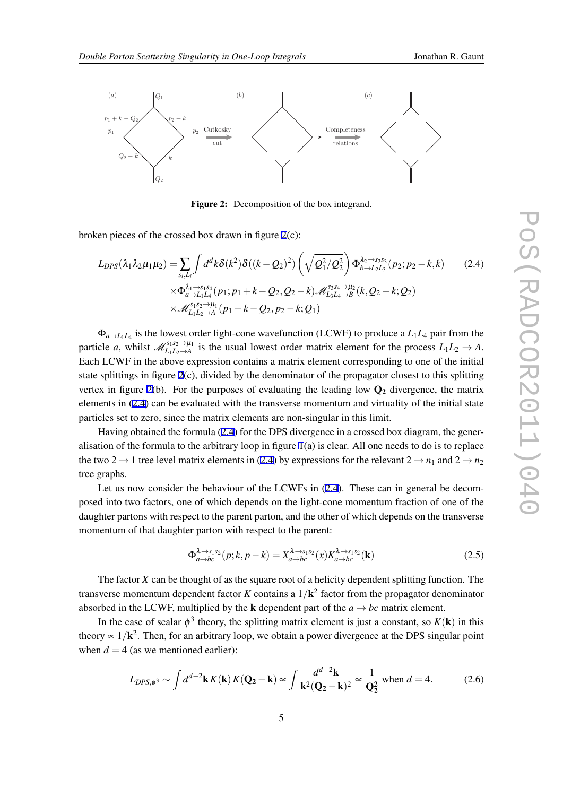<span id="page-4-0"></span>

Figure 2: Decomposition of the box integrand.

broken pieces of the crossed box drawn in figure 2(c):

$$
L_{DPS}(\lambda_1 \lambda_2 \mu_1 \mu_2) = \sum_{s_i, L_i} \int d^d k \delta(k^2) \delta((k - Q_2)^2) \left(\sqrt{Q_1^2/Q_2^2}\right) \Phi_{b \to L_2 L_3}^{\lambda_2 \to s_2 s_3}(p_2; p_2 - k, k) \tag{2.4}
$$
  
 
$$
\times \Phi_{a \to L_1 L_4}^{\lambda_1 \to s_1 s_4}(p_1; p_1 + k - Q_2, Q_2 - k) \mathcal{M}_{L_3 L_4 \to B}^{s_3 s_4 \to \mu_2}(k, Q_2 - k; Q_2) \times \mathcal{M}_{L_1 L_2 \to A}^{s_1 s_2 \to \mu_1}(p_1 + k - Q_2, p_2 - k; Q_1)
$$

 $\Phi_{a \to L_1 L_4}$  is the lowest order light-cone wavefunction (LCWF) to produce a  $L_1 L_4$  pair from the particle *a*, whilst  $\mathcal{M}_{L_1L_2\rightarrow A}^{s_1s_2\rightarrow \mu_1}$  is the usual lowest order matrix element for the process  $L_1L_2\rightarrow A$ . Each LCWF in the above expression contains a matrix element corresponding to one of the initial state splittings in figure 2(c), divided by the denominator of the propagator closest to this splitting vertex in figure 2(b). For the purposes of evaluating the leading low  $Q_2$  divergence, the matrix elements in (2.4) can be evaluated with the transverse momentum and virtuality of the initial state particles set to zero, since the matrix elements are non-singular in this limit.

Having obtained the formula (2.4) for the DPS divergence in a crossed box diagram, the generalisation of the formula to the arbitrary loop in figure [1](#page-1-0)(a) is clear. All one needs to do is to replace the two 2  $\rightarrow$  1 tree level matrix elements in (2.4) by expressions for the relevant 2  $\rightarrow$  *n*<sub>1</sub> and 2  $\rightarrow$  *n*<sub>2</sub> tree graphs.

Let us now consider the behaviour of the LCWFs in  $(2.4)$ . These can in general be decomposed into two factors, one of which depends on the light-cone momentum fraction of one of the daughter partons with respect to the parent parton, and the other of which depends on the transverse momentum of that daughter parton with respect to the parent:

$$
\Phi_{a \to bc}^{\lambda \to s_1 s_2}(p;k,p-k) = X_{a \to bc}^{\lambda \to s_1 s_2}(x) K_{a \to bc}^{\lambda \to s_1 s_2}(\mathbf{k})
$$
\n(2.5)

The factor *X* can be thought of as the square root of a helicity dependent splitting function. The transverse momentum dependent factor *K* contains a 1*/*k 2 factor from the propagator denominator absorbed in the LCWF, multiplied by the **k** dependent part of the  $a \rightarrow bc$  matrix element.

In the case of scalar  $\phi^3$  theory, the splitting matrix element is just a constant, so  $K(\mathbf{k})$  in this theory  $\propto 1/k^2$ . Then, for an arbitrary loop, we obtain a power divergence at the DPS singular point when  $d = 4$  (as we mentioned earlier):

$$
L_{DPS,\phi^3} \sim \int d^{d-2} \mathbf{k} K(\mathbf{k}) K(\mathbf{Q_2} - \mathbf{k}) \propto \int \frac{d^{d-2} \mathbf{k}}{\mathbf{k}^2 (\mathbf{Q_2} - \mathbf{k})^2} \propto \frac{1}{\mathbf{Q_2^2}} \text{ when } d = 4. \tag{2.6}
$$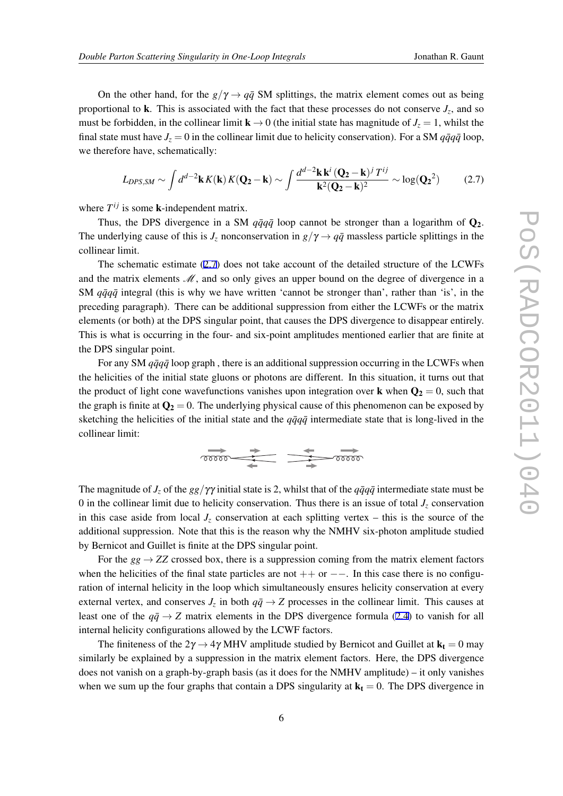On the other hand, for the  $g/\gamma \rightarrow q\bar{q}$  SM splittings, the matrix element comes out as being proportional to  $\bf{k}$ . This is associated with the fact that these processes do not conserve  $J_z$ , and so must be forbidden, in the collinear limit  $\mathbf{k} \to 0$  (the initial state has magnitude of  $J_z = 1$ , whilst the final state must have  $J_z = 0$  in the collinear limit due to helicity conservation). For a SM  $q\bar{q}q\bar{q}$  loop, we therefore have, schematically:

$$
L_{DPS,SM} \sim \int d^{d-2} \mathbf{k} K(\mathbf{k}) K(\mathbf{Q_2} - \mathbf{k}) \sim \int \frac{d^{d-2} \mathbf{k} \mathbf{k}^i (\mathbf{Q_2} - \mathbf{k})^j T^{ij}}{\mathbf{k}^2 (\mathbf{Q_2} - \mathbf{k})^2} \sim \log(\mathbf{Q_2}^2)
$$
(2.7)

where  $T^{ij}$  is some **k**-independent matrix.

Thus, the DPS divergence in a SM  $q\bar{q}q\bar{q}$  loop cannot be stronger than a logarithm of  $Q_2$ . The underlying cause of this is  $J_z$  nonconservation in  $g/\gamma \rightarrow q\bar{q}$  massless particle splittings in the collinear limit.

The schematic estimate (2.7) does not take account of the detailed structure of the LCWFs and the matrix elements *M*, and so only gives an upper bound on the degree of divergence in a SM  $q\bar{q}q\bar{q}$  integral (this is why we have written 'cannot be stronger than', rather than 'is', in the preceding paragraph). There can be additional suppression from either the LCWFs or the matrix elements (or both) at the DPS singular point, that causes the DPS divergence to disappear entirely. This is what is occurring in the four- and six-point amplitudes mentioned earlier that are finite at the DPS singular point.

For any SM  $q\bar{q}q\bar{q}$  loop graph, there is an additional suppression occurring in the LCWFs when the helicities of the initial state gluons or photons are different. In this situation, it turns out that the product of light cone wavefunctions vanishes upon integration over **k** when  $\mathbf{Q}_2 = 0$ , such that the graph is finite at  $\mathbf{Q}_2 = 0$ . The underlying physical cause of this phenomenon can be exposed by sketching the helicities of the initial state and the  $q\bar{q}q\bar{q}$  intermediate state that is long-lived in the collinear limit:

$$
\overbrace{\hspace{1.5cm}}^{\hspace{1.5cm}\longrightarrow}
$$

The magnitude of  $J_z$  of the  $gg/\gamma\gamma$  initial state is 2, whilst that of the  $q\bar{q}q\bar{q}$  intermediate state must be 0 in the collinear limit due to helicity conservation. Thus there is an issue of total  $J_z$  conservation in this case aside from local  $J_z$  conservation at each splitting vertex – this is the source of the additional suppression. Note that this is the reason why the NMHV six-photon amplitude studied by Bernicot and Guillet is finite at the DPS singular point.

For the  $gg \rightarrow ZZ$  crossed box, there is a suppression coming from the matrix element factors when the helicities of the final state particles are not ++ or *−−*. In this case there is no configuration of internal helicity in the loop which simultaneously ensures helicity conservation at every external vertex, and conserves  $J_z$  in both  $q\bar{q} \rightarrow Z$  processes in the collinear limit. This causes at least one of the  $q\bar{q} \rightarrow Z$  matrix elements in the DPS divergence formula [\(2.4](#page-4-0)) to vanish for all internal helicity configurations allowed by the LCWF factors.

The finiteness of the  $2\gamma \rightarrow 4\gamma$  MHV amplitude studied by Bernicot and Guillet at  $\mathbf{k}_t = 0$  may similarly be explained by a suppression in the matrix element factors. Here, the DPS divergence does not vanish on a graph-by-graph basis (as it does for the NMHV amplitude) – it only vanishes when we sum up the four graphs that contain a DPS singularity at  $k_t = 0$ . The DPS divergence in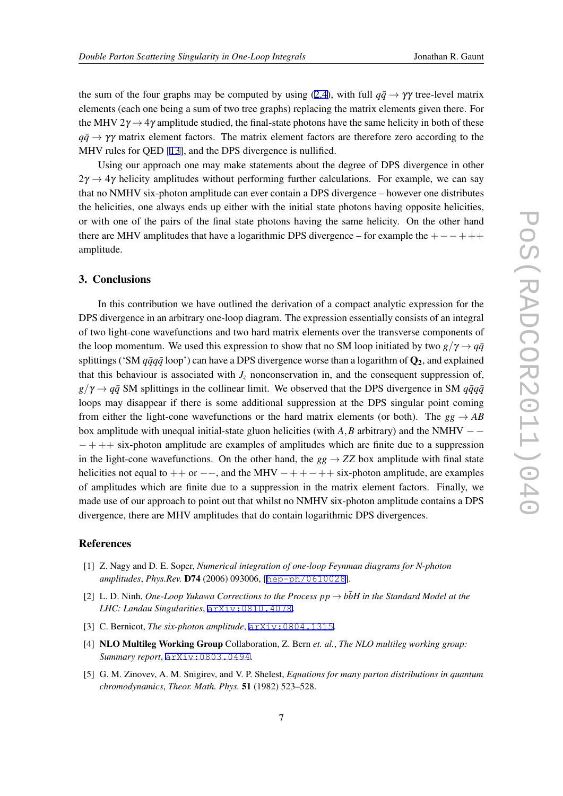<span id="page-6-0"></span>the sum of the four graphs may be computed by using ([2.4](#page-4-0)), with full  $q\bar{q} \rightarrow \gamma\gamma$  tree-level matrix elements (each one being a sum of two tree graphs) replacing the matrix elements given there. For the MHV  $2\gamma \rightarrow 4\gamma$  amplitude studied, the final-state photons have the same helicity in both of these  $q\bar{q} \rightarrow \gamma\gamma$  matrix element factors. The matrix element factors are therefore zero according to the MHV rules for QED [[13\]](#page-7-0), and the DPS divergence is nullified.

Using our approach one may make statements about the degree of DPS divergence in other  $2\gamma \rightarrow 4\gamma$  helicity amplitudes without performing further calculations. For example, we can say that no NMHV six-photon amplitude can ever contain a DPS divergence – however one distributes the helicities, one always ends up either with the initial state photons having opposite helicities, or with one of the pairs of the final state photons having the same helicity. On the other hand there are MHV amplitudes that have a logarithmic DPS divergence – for example the +*−−*+++ amplitude.

## 3. Conclusions

In this contribution we have outlined the derivation of a compact analytic expression for the DPS divergence in an arbitrary one-loop diagram. The expression essentially consists of an integral of two light-cone wavefunctions and two hard matrix elements over the transverse components of the loop momentum. We used this expression to show that no SM loop initiated by two  $g/\gamma \rightarrow q\bar{q}$ splittings ('SM  $q\bar{q}q\bar{q}$  loop') can have a DPS divergence worse than a logarithm of  $Q_2$ , and explained that this behaviour is associated with  $J_z$  nonconservation in, and the consequent suppression of,  $g/\gamma \rightarrow q\bar{q}$  SM splittings in the collinear limit. We observed that the DPS divergence in SM  $q\bar{q}q\bar{q}$ loops may disappear if there is some additional suppression at the DPS singular point coming from either the light-cone wavefunctions or the hard matrix elements (or both). The  $gg \rightarrow AB$ box amplitude with unequal initial-state gluon helicities (with *A,B* arbitrary) and the NMHV *− − −* + ++ six-photon amplitude are examples of amplitudes which are finite due to a suppression in the light-cone wavefunctions. On the other hand, the  $gg \rightarrow ZZ$  box amplitude with final state helicities not equal to ++ or *−−*, and the MHV *−*+ +*−*++ six-photon amplitude, are examples of amplitudes which are finite due to a suppression in the matrix element factors. Finally, we made use of our approach to point out that whilst no NMHV six-photon amplitude contains a DPS divergence, there are MHV amplitudes that do contain logarithmic DPS divergences.

#### References

- [1] Z. Nagy and D. E. Soper, *Numerical integration of one-loop Feynman diagrams for N-photon amplitudes*, *Phys.Rev.* D74 (2006) 093006, [[hep-ph/0610028](http://xxx.lanl.gov/abs/hep-ph/0610028)].
- [2] L. D. Ninh, *One-Loop Yukawa Corrections to the Process*  $pp \rightarrow b\bar{b}H$  *in the Standard Model at the LHC: Landau Singularities*, [arXiv:0810.4078](http://xxx.lanl.gov/abs/0810.4078).
- [3] C. Bernicot, *The six-photon amplitude*, [arXiv:0804.1315](http://xxx.lanl.gov/abs/0804.1315).
- [4] NLO Multileg Working Group Collaboration, Z. Bern *et. al.*, *The NLO multileg working group: Summary report*, [arXiv:0803.0494](http://xxx.lanl.gov/abs/0803.0494).
- [5] G. M. Zinovev, A. M. Snigirev, and V. P. Shelest, *Equations for many parton distributions in quantum chromodynamics*, *Theor. Math. Phys.* 51 (1982) 523–528.